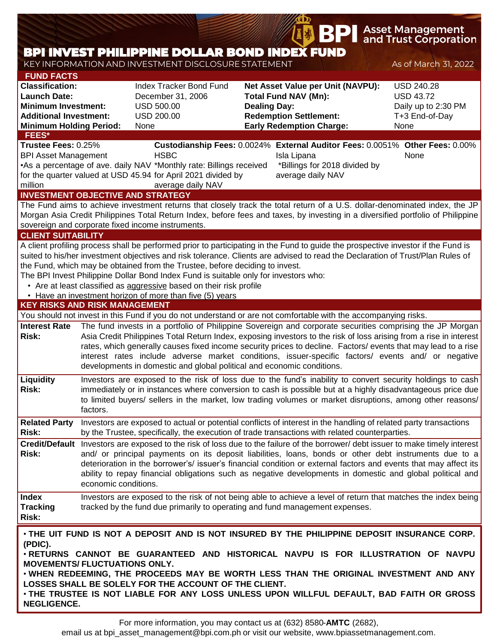|                                                                                                                                                         |                      |                                                                                                                                                                                                                                                                                                         |                     | BРI                                                                                                                                  | Asset Management<br>and Trust Corporation                                                                                                                                                                                                                                                                                                                                                                                                                                   |
|---------------------------------------------------------------------------------------------------------------------------------------------------------|----------------------|---------------------------------------------------------------------------------------------------------------------------------------------------------------------------------------------------------------------------------------------------------------------------------------------------------|---------------------|--------------------------------------------------------------------------------------------------------------------------------------|-----------------------------------------------------------------------------------------------------------------------------------------------------------------------------------------------------------------------------------------------------------------------------------------------------------------------------------------------------------------------------------------------------------------------------------------------------------------------------|
|                                                                                                                                                         |                      | <b>BPI INVEST PHILIPPINE DOLLAR BOND INDEX FUND</b>                                                                                                                                                                                                                                                     |                     |                                                                                                                                      |                                                                                                                                                                                                                                                                                                                                                                                                                                                                             |
| <b>FUND FACTS</b>                                                                                                                                       |                      | KEY INFORMATION AND INVESTMENT DISCLOSURE STATEMENT                                                                                                                                                                                                                                                     |                     |                                                                                                                                      | As of March 31, 2022                                                                                                                                                                                                                                                                                                                                                                                                                                                        |
| <b>Classification:</b><br><b>Launch Date:</b><br><b>Minimum Investment:</b><br><b>Additional Investment:</b><br><b>Minimum Holding Period:</b><br>FEES* |                      | Index Tracker Bond Fund<br>December 31, 2006<br><b>USD 500.00</b><br><b>USD 200.00</b><br>None                                                                                                                                                                                                          | <b>Dealing Day:</b> | Net Asset Value per Unit (NAVPU):<br><b>Total Fund NAV (Mn):</b><br><b>Redemption Settlement:</b><br><b>Early Redemption Charge:</b> | <b>USD 240.28</b><br><b>USD 43.72</b><br>Daily up to 2:30 PM<br>T+3 End-of-Day<br>None                                                                                                                                                                                                                                                                                                                                                                                      |
| Trustee Fees: 0.25%                                                                                                                                     |                      |                                                                                                                                                                                                                                                                                                         |                     |                                                                                                                                      | Custodianship Fees: 0.0024% External Auditor Fees: 0.0051% Other Fees: 0.00%                                                                                                                                                                                                                                                                                                                                                                                                |
| <b>BPI Asset Management</b><br>million                                                                                                                  |                      | <b>HSBC</b><br>•As a percentage of ave. daily NAV *Monthly rate: Billings received<br>for the quarter valued at USD 45.94 for April 2021 divided by<br>average daily NAV                                                                                                                                |                     | Isla Lipana<br>*Billings for 2018 divided by<br>average daily NAV                                                                    | None                                                                                                                                                                                                                                                                                                                                                                                                                                                                        |
|                                                                                                                                                         |                      | <b>INVESTMENT OBJECTIVE AND STRATEGY</b>                                                                                                                                                                                                                                                                |                     |                                                                                                                                      | The Fund aims to achieve investment returns that closely track the total return of a U.S. dollar-denominated index, the JP                                                                                                                                                                                                                                                                                                                                                  |
|                                                                                                                                                         |                      | sovereign and corporate fixed income instruments.                                                                                                                                                                                                                                                       |                     |                                                                                                                                      | Morgan Asia Credit Philippines Total Return Index, before fees and taxes, by investing in a diversified portfolio of Philippine                                                                                                                                                                                                                                                                                                                                             |
| <b>CLIENT SUITABILITY</b>                                                                                                                               |                      |                                                                                                                                                                                                                                                                                                         |                     |                                                                                                                                      |                                                                                                                                                                                                                                                                                                                                                                                                                                                                             |
|                                                                                                                                                         |                      | the Fund, which may be obtained from the Trustee, before deciding to invest.<br>The BPI Invest Philippine Dollar Bond Index Fund is suitable only for investors who:<br>• Are at least classified as aggressive based on their risk profile<br>• Have an investment horizon of more than five (5) years |                     |                                                                                                                                      | A client profiling process shall be performed prior to participating in the Fund to guide the prospective investor if the Fund is<br>suited to his/her investment objectives and risk tolerance. Clients are advised to read the Declaration of Trust/Plan Rules of                                                                                                                                                                                                         |
| <b>KEY RISKS AND RISK MANAGEMENT</b>                                                                                                                    |                      |                                                                                                                                                                                                                                                                                                         |                     |                                                                                                                                      |                                                                                                                                                                                                                                                                                                                                                                                                                                                                             |
| <b>Interest Rate</b><br><b>Risk:</b>                                                                                                                    |                      | developments in domestic and global political and economic conditions.                                                                                                                                                                                                                                  |                     | You should not invest in this Fund if you do not understand or are not comfortable with the accompanying risks.                      | The fund invests in a portfolio of Philippine Sovereign and corporate securities comprising the JP Morgan<br>Asia Credit Philippines Total Return Index, exposing investors to the risk of loss arising from a rise in interest<br>rates, which generally causes fixed income security prices to decline. Factors/ events that may lead to a rise<br>interest rates include adverse market conditions, issuer-specific factors/ events and/ or negative                     |
| Liquidity<br><b>Risk:</b>                                                                                                                               | factors.             |                                                                                                                                                                                                                                                                                                         |                     |                                                                                                                                      | Investors are exposed to the risk of loss due to the fund's inability to convert security holdings to cash<br>immediately or in instances where conversion to cash is possible but at a highly disadvantageous price due<br>to limited buyers/ sellers in the market, low trading volumes or market disruptions, among other reasons/                                                                                                                                       |
| <b>Related Party</b><br>Risk:                                                                                                                           |                      |                                                                                                                                                                                                                                                                                                         |                     | by the Trustee, specifically, the execution of trade transactions with related counterparties.                                       | Investors are exposed to actual or potential conflicts of interest in the handling of related party transactions                                                                                                                                                                                                                                                                                                                                                            |
| Risk:                                                                                                                                                   | economic conditions. |                                                                                                                                                                                                                                                                                                         |                     |                                                                                                                                      | Credit/Default Investors are exposed to the risk of loss due to the failure of the borrower/ debt issuer to make timely interest<br>and/ or principal payments on its deposit liabilities, loans, bonds or other debt instruments due to a<br>deterioration in the borrower's/ issuer's financial condition or external factors and events that may affect its<br>ability to repay financial obligations such as negative developments in domestic and global political and |
| <b>Index</b><br><b>Tracking</b><br><b>Risk:</b>                                                                                                         |                      |                                                                                                                                                                                                                                                                                                         |                     | tracked by the fund due primarily to operating and fund management expenses.                                                         | Investors are exposed to the risk of not being able to achieve a level of return that matches the index being                                                                                                                                                                                                                                                                                                                                                               |
| (PDIC).<br><b>MOVEMENTS/ FLUCTUATIONS ONLY.</b><br><b>NEGLIGENCE.</b>                                                                                   |                      | LOSSES SHALL BE SOLELY FOR THE ACCOUNT OF THE CLIENT.                                                                                                                                                                                                                                                   |                     |                                                                                                                                      | . THE UIT FUND IS NOT A DEPOSIT AND IS NOT INSURED BY THE PHILIPPINE DEPOSIT INSURANCE CORP.<br>. RETURNS CANNOT BE GUARANTEED AND HISTORICAL NAVPU IS FOR ILLUSTRATION OF NAVPU<br>. WHEN REDEEMING, THE PROCEEDS MAY BE WORTH LESS THAN THE ORIGINAL INVESTMENT AND ANY<br>. THE TRUSTEE IS NOT LIABLE FOR ANY LOSS UNLESS UPON WILLFUL DEFAULT, BAD FAITH OR GROSS                                                                                                       |

email us at bpi\_asset\_management@bpi.com.ph or visit our website, www.bpiassetmanagement.com.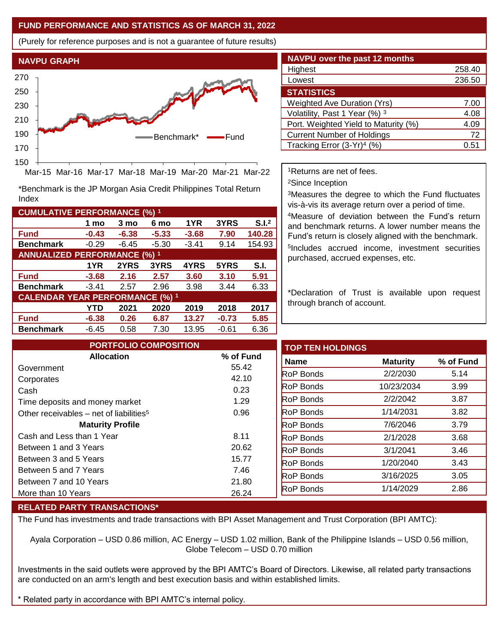## **FUND PERFORMANCE AND STATISTICS AS OF MARCH 31, 2022**

(Purely for reference purposes and is not a guarantee of future results)



Mar-15 Mar-16 Mar-17 Mar-18 Mar-19 Mar-20 Mar-21 Mar-22

\*Benchmark is the JP Morgan Asia Credit Philippines Total Return Index

| <b>CUMULATIVE PERFORMANCE (%) 1</b>    |         |         |         |         |         |                   |
|----------------------------------------|---------|---------|---------|---------|---------|-------------------|
|                                        | 1 mo    | 3 mo    | 6 mo    | 1YR     | 3YRS    | S.I. <sup>2</sup> |
| <b>Fund</b>                            | $-0.43$ | $-6.38$ | $-5.33$ | $-3.68$ | 7.90    | 140.28            |
| <b>Benchmark</b>                       | $-0.29$ | $-6.45$ | $-5.30$ | $-3.41$ | 9.14    | 154.93            |
| <b>ANNUALIZED PERFORMANCE (%) 1</b>    |         |         |         |         |         |                   |
|                                        | 1YR     | 2YRS    | 3YRS    | 4YRS    | 5YRS    | S.I.              |
| <b>Fund</b>                            | $-3.68$ | 2.16    | 2.57    | 3.60    | 3.10    | 5.91              |
| <b>Benchmark</b>                       | $-3.41$ | 2.57    | 2.96    | 3.98    | 3.44    | 6.33              |
| <b>CALENDAR YEAR PERFORMANCE (%) 1</b> |         |         |         |         |         |                   |
|                                        | YTD     | 2021    | 2020    | 2019    | 2018    | 2017              |
| <b>Fund</b>                            | $-6.38$ | 0.26    | 6.87    | 13.27   | $-0.73$ | 5.85              |
| <b>Benchmark</b>                       | $-6.45$ | 0.58    | 7.30    | 13.95   | $-0.61$ | 6.36              |

| <b>NAVPU</b> over the past 12 months |        |
|--------------------------------------|--------|
| Highest                              | 258.40 |
| Lowest                               | 236.50 |
| <b>STATISTICS</b>                    |        |
| <b>Weighted Ave Duration (Yrs)</b>   | 7.00   |
| Volatility, Past 1 Year (%) 3        | 4.08   |
| Port. Weighted Yield to Maturity (%) | 4.09   |
| <b>Current Number of Holdings</b>    | 72     |
| Tracking Error $(3-Yr)^4$ (%)        | 0.51   |

<sup>1</sup>Returns are net of fees.

<sup>2</sup>Since Inception

<sup>3</sup>Measures the degree to which the Fund fluctuates vis-à-vis its average return over a period of time.

<sup>4</sup>Measure of deviation between the Fund's return and benchmark returns. A lower number means the Fund's return is closely aligned with the benchmark. 5 Includes accrued income, investment securities purchased, accrued expenses, etc.

\*Declaration of Trust is available upon request through branch of account.

| <b>PORTFOLIO COMPOSITION</b>                        |           | <b>TOP TEN HOLDINGS</b> |                 |           |
|-----------------------------------------------------|-----------|-------------------------|-----------------|-----------|
| <b>Allocation</b>                                   | % of Fund | <b>Name</b>             | <b>Maturity</b> | % of Fund |
| Government                                          | 55.42     | <b>RoP Bonds</b>        | 2/2/2030        | 5.14      |
| Corporates                                          | 42.10     | <b>RoP Bonds</b>        | 10/23/2034      | 3.99      |
| Cash                                                | 0.23      |                         |                 |           |
| Time deposits and money market                      | 1.29      | <b>RoP Bonds</b>        | 2/2/2042        | 3.87      |
| Other receivables – net of liabilities <sup>5</sup> | 0.96      | <b>RoP Bonds</b>        | 1/14/2031       | 3.82      |
| <b>Maturity Profile</b>                             |           | <b>RoP Bonds</b>        | 7/6/2046        | 3.79      |
| Cash and Less than 1 Year                           | 8.11      | <b>RoP Bonds</b>        | 2/1/2028        | 3.68      |
| Between 1 and 3 Years                               | 20.62     | <b>RoP Bonds</b>        | 3/1/2041        | 3.46      |
| Between 3 and 5 Years                               | 15.77     | <b>RoP Bonds</b>        | 1/20/2040       | 3.43      |
| Between 5 and 7 Years                               | 7.46      | <b>RoP Bonds</b>        | 3/16/2025       | 3.05      |
| Between 7 and 10 Years                              | 21.80     |                         |                 |           |
| More than 10 Years                                  | 26.24     | <b>RoP Bonds</b>        | 1/14/2029       | 2.86      |

## **RELATED PARTY TRANSACTIONS\***

The Fund has investments and trade transactions with BPI Asset Management and Trust Corporation (BPI AMTC):

Ayala Corporation – USD 0.86 million, AC Energy – USD 1.02 million, Bank of the Philippine Islands – USD 0.56 million, Globe Telecom – USD 0.70 million

Investments in the said outlets were approved by the BPI AMTC's Board of Directors. Likewise, all related party transactions are conducted on an arm's length and best execution basis and within established limits.

Related party in accordance with BPI AMTC's internal policy.